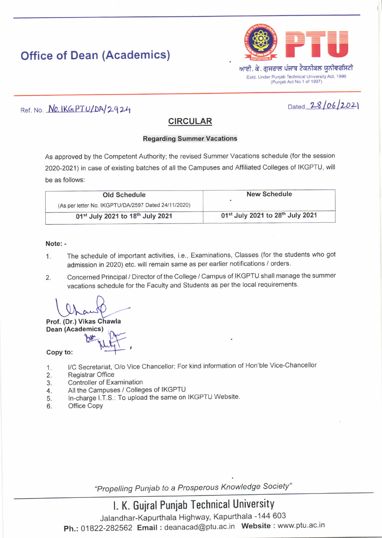# Office of Dean (Academics)



### Ref. No. No. IKGPTU/DA/2924

## Dated  $28/06/202$

### **CIRCULAR**

### **Regarding Summer Vacations**

As approved by the Competent Authority; the revised Summer Vacations schedule (for the session 2020-2021) in case of existing batches of all the Campuses and Affiliated Colleges of IKGPTU, will be as follows:

| <b>Old Schedule</b>                                 | <b>New Schedule</b>                                      |
|-----------------------------------------------------|----------------------------------------------------------|
| (As per letter No. IKGPTU/DA/2597 Dated 24/11/2020) |                                                          |
| 01st July 2021 to 18th July 2021                    | 01 <sup>st</sup> July 2021 to 28 <sup>th</sup> July 2021 |

### Note: -

- 1. The schedule of important activities, i.e., Examinations, classes (for the students who got admission in 2020) etc. will remain same as per earlier notifications / orders
- 2. Concerned Principal / Director of the college / campus of IKGPTU shall manage the summer vacations schedule for the Faculty and Students as per the local requirements

Prof. (Dr.) Vikas Chawla Dean (Academics)

Copy to:

- l/c secretariat, o/o Vice chancellor: For kind information of Hon'ble vice-chancellor 1.
- Registrar Office  $2.$
- Controller of Examination 3.
- All the Campuses / Colleges of IKGPTU 4.
- In-charge l.T.S.: To upload the same on IKGPTU Website 5.
- Office Copy 6.

"Propelling Puniab to a Prosperous Knowledge Society"

# l. K. Gujral Puniab Technical University

Jalandhar-Kapurthala Highway, Kapurthala -1 44 603 Ph.: 01822-282562 Email: deanacad@ptu.ac.in Website: www.ptu.ac.in